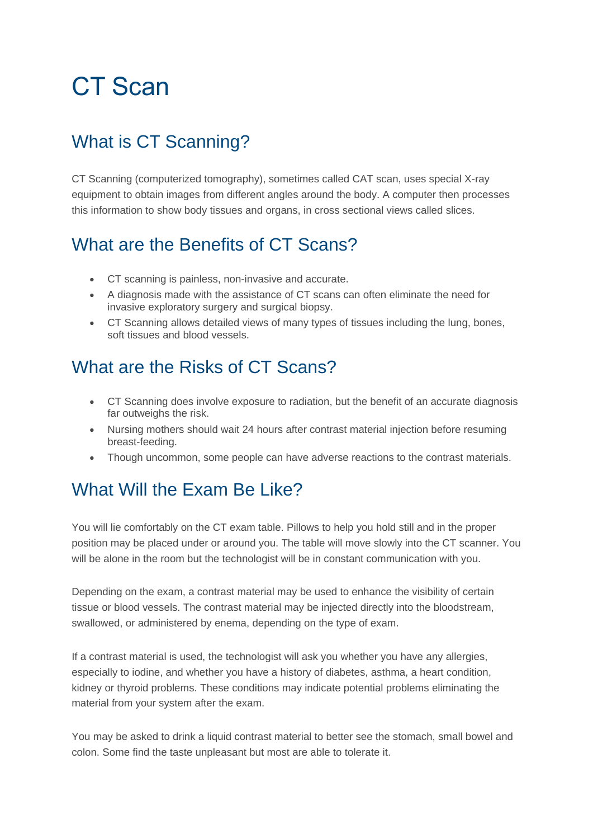# CT Scan

# What is CT Scanning?

CT Scanning (computerized tomography), sometimes called CAT scan, uses special X-ray equipment to obtain images from different angles around the body. A computer then processes this information to show body tissues and organs, in cross sectional views called slices.

# What are the Benefits of CT Scans?

- CT scanning is painless, non-invasive and accurate.
- A diagnosis made with the assistance of CT scans can often eliminate the need for invasive exploratory surgery and surgical biopsy.
- CT Scanning allows detailed views of many types of tissues including the lung, bones, soft tissues and blood vessels.

### What are the Risks of CT Scans?

- CT Scanning does involve exposure to radiation, but the benefit of an accurate diagnosis far outweighs the risk.
- Nursing mothers should wait 24 hours after contrast material injection before resuming breast-feeding.
- Though uncommon, some people can have adverse reactions to the contrast materials.

### What Will the Fxam Be Like?

You will lie comfortably on the CT exam table. Pillows to help you hold still and in the proper position may be placed under or around you. The table will move slowly into the CT scanner. You will be alone in the room but the technologist will be in constant communication with you.

Depending on the exam, a contrast material may be used to enhance the visibility of certain tissue or blood vessels. The contrast material may be injected directly into the bloodstream, swallowed, or administered by enema, depending on the type of exam.

If a contrast material is used, the technologist will ask you whether you have any allergies, especially to iodine, and whether you have a history of diabetes, asthma, a heart condition, kidney or thyroid problems. These conditions may indicate potential problems eliminating the material from your system after the exam.

You may be asked to drink a liquid contrast material to better see the stomach, small bowel and colon. Some find the taste unpleasant but most are able to tolerate it.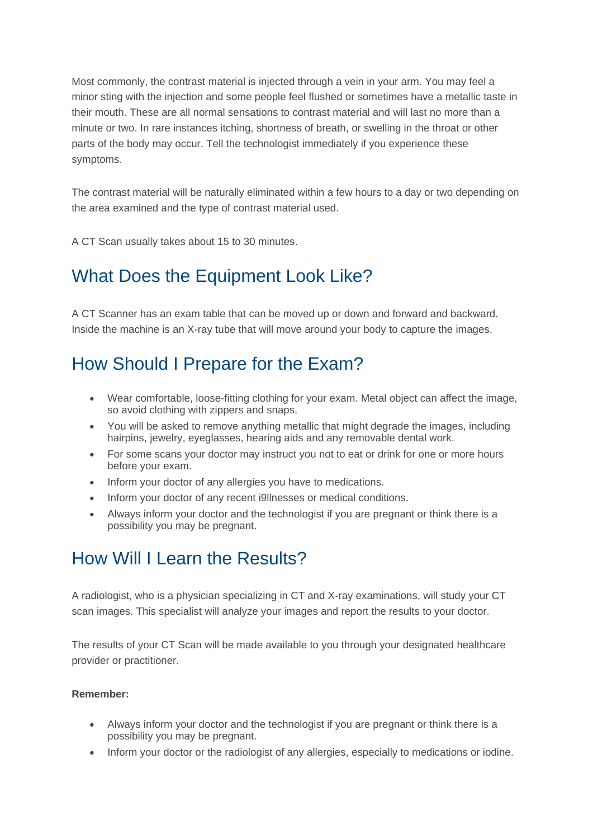Most commonly, the contrast material is injected through a vein in your arm. You may feel a minor sting with the injection and some people feel flushed or sometimes have a metallic taste in their mouth. These are all normal sensations to contrast material and will last no more than a minute or two. In rare instances itching, shortness of breath, or swelling in the throat or other parts of the body may occur. Tell the technologist immediately if you experience these symptoms.

The contrast material will be naturally eliminated within a few hours to a day or two depending on the area examined and the type of contrast material used.

A CT Scan usually takes about 15 to 30 minutes.

# What Does the Equipment Look Like?

A CT Scanner has an exam table that can be moved up or down and forward and backward. Inside the machine is an X-ray tube that will move around your body to capture the images.

# How Should I Prepare for the Exam?

- Wear comfortable, loose-fitting clothing for your exam. Metal object can affect the image, so avoid clothing with zippers and snaps.
- You will be asked to remove anything metallic that might degrade the images, including hairpins, jewelry, eyeglasses, hearing aids and any removable dental work.
- For some scans your doctor may instruct you not to eat or drink for one or more hours before your exam.
- Inform your doctor of any allergies you have to medications.
- Inform your doctor of any recent i9llnesses or medical conditions.
- Always inform your doctor and the technologist if you are pregnant or think there is a possibility you may be pregnant.

#### How Will I Learn the Results?

A radiologist, who is a physician specializing in CT and X-ray examinations, will study your CT scan images. This specialist will analyze your images and report the results to your doctor.

The results of your CT Scan will be made available to you through your designated healthcare provider or practitioner.

#### **Remember:**

- Always inform your doctor and the technologist if you are pregnant or think there is a possibility you may be pregnant.
- Inform your doctor or the radiologist of any allergies, especially to medications or iodine.